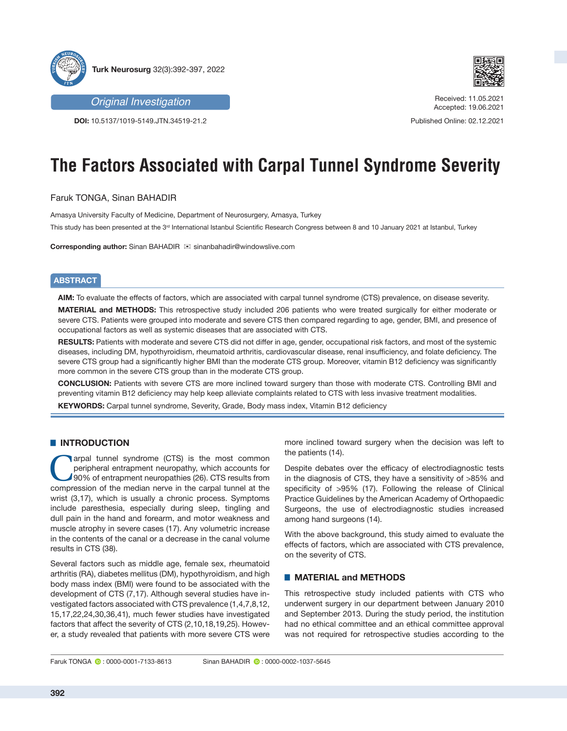



**DOI:** 10.5137/1019-5149.JTN.34519-21.2



Received: 11.05.2021 Accepted: 19.06.2021

Published Online: 02.12.2021

# **The Factors Associated with Carpal Tunnel Syndrome Severity**

Faruk TONGA, Sinan BAHADIR

Amasya University Faculty of Medicine, Department of Neurosurgery, Amasya, Turkey

This study has been presented at the 3<sup>rd</sup> International Istanbul Scientific Research Congress between 8 and 10 January 2021 at Istanbul, Turkey

**Corresponding author:** Sinan BAHADIR  $⊠$  sinanbahadir@windowslive.com

# **ABSTRACT**

**AIM:** To evaluate the effects of factors, which are associated with carpal tunnel syndrome (CTS) prevalence, on disease severity.

**MATERIAL and METHODS:** This retrospective study included 206 patients who were treated surgically for either moderate or severe CTS. Patients were grouped into moderate and severe CTS then compared regarding to age, gender, BMI, and presence of occupational factors as well as systemic diseases that are associated with CTS.

**RESULTS:** Patients with moderate and severe CTS did not differ in age, gender, occupational risk factors, and most of the systemic diseases, including DM, hypothyroidism, rheumatoid arthritis, cardiovascular disease, renal insufficiency, and folate deficiency. The severe CTS group had a significantly higher BMI than the moderate CTS group. Moreover, vitamin B12 deficiency was significantly more common in the severe CTS group than in the moderate CTS group.

**CONCLUSION:** Patients with severe CTS are more inclined toward surgery than those with moderate CTS. Controlling BMI and preventing vitamin B12 deficiency may help keep alleviate complaints related to CTS with less invasive treatment modalities.

**KEYWORDS:** Carpal tunnel syndrome, Severity, Grade, Body mass index, Vitamin B12 deficiency

## █ **INTRODUCTION**

arpal tunnel syndrome (CTS) is the most common peripheral entrapment neuropathy, which accounts for 90% of entrapment neuropathies (26). CTS results from compression of the median nerve in the carpal tunnel at the wrist (3,17), which is usually a chronic process. Symptoms include paresthesia, especially during sleep, tingling and dull pain in the hand and forearm, and motor weakness and muscle atrophy in severe cases (17). Any volumetric increase in the contents of the canal or a decrease in the canal volume results in CTS (38).

Several factors such as middle age, female sex, rheumatoid arthritis (RA), diabetes mellitus (DM), hypothyroidism, and high body mass index (BMI) were found to be associated with the development of CTS (7,17). Although several studies have investigated factors associated with CTS prevalence (1,4,7,8,12, 15,17,22,24,30,36,41), much fewer studies have investigated factors that affect the severity of CTS (2,10,18,19,25). However, a study revealed that patients with more severe CTS were more inclined toward surgery when the decision was left to the patients (14).

Despite debates over the efficacy of electrodiagnostic tests in the diagnosis of CTS, they have a sensitivity of >85% and specificity of >95% (17). Following the release of Clinical Practice Guidelines by the American Academy of Orthopaedic Surgeons, the use of electrodiagnostic studies increased among hand surgeons (14).

With the above background, this study aimed to evaluate the effects of factors, which are associated with CTS prevalence, on the severity of CTS.

## █ **MATERIAL and METHODS**

This retrospective study included patients with CTS who underwent surgery in our department between January 2010 and September 2013. During the study period, the institution had no ethical committee and an ethical committee approval was not required for retrospective studies according to the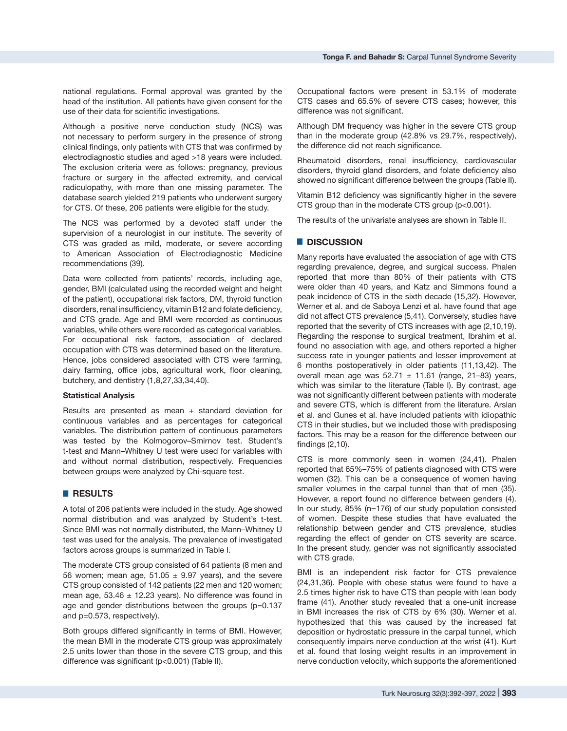national regulations. Formal approval was granted by the head of the institution. All patients have given consent for the use of their data for scientific investigations.

Although a positive nerve conduction study (NCS) was not necessary to perform surgery in the presence of strong clinical findings, only patients with CTS that was confirmed by electrodiagnostic studies and aged >18 years were included. The exclusion criteria were as follows: pregnancy, previous fracture or surgery in the affected extremity, and cervical radiculopathy, with more than one missing parameter. The database search yielded 219 patients who underwent surgery for CTS. Of these, 206 patients were eligible for the study.

The NCS was performed by a devoted staff under the supervision of a neurologist in our institute. The severity of CTS was graded as mild, moderate, or severe according to American Association of Electrodiagnostic Medicine recommendations (39).

Data were collected from patients' records, including age, gender, BMI (calculated using the recorded weight and height of the patient), occupational risk factors, DM, thyroid function disorders, renal insufficiency, vitamin B12 and folate deficiency, and CTS grade. Age and BMI were recorded as continuous variables, while others were recorded as categorical variables. For occupational risk factors, association of declared occupation with CTS was determined based on the literature. Hence, jobs considered associated with CTS were farming, dairy farming, office jobs, agricultural work, floor cleaning, butchery, and dentistry (1,8,27,33,34,40).

#### **Statistical Analysis**

Results are presented as mean  $+$  standard deviation for continuous variables and as percentages for categorical variables. The distribution pattern of continuous parameters was tested by the Kolmogorov–Smirnov test. Student's t-test and Mann–Whitney U test were used for variables with and without normal distribution, respectively. Frequencies between groups were analyzed by Chi-square test.

## █ **RESULTS**

A total of 206 patients were included in the study. Age showed normal distribution and was analyzed by Student's t-test. Since BMI was not normally distributed, the Mann–Whitney U test was used for the analysis. The prevalence of investigated factors across groups is summarized in Table I.

The moderate CTS group consisted of 64 patients (8 men and 56 women; mean age,  $51.05 \pm 9.97$  years), and the severe CTS group consisted of 142 patients (22 men and 120 women; mean age,  $53.46 \pm 12.23$  years). No difference was found in age and gender distributions between the groups (p=0.137 and p=0.573, respectively).

Both groups differed significantly in terms of BMI. However, the mean BMI in the moderate CTS group was approximately 2.5 units lower than those in the severe CTS group, and this difference was significant (p<0.001) (Table II).

Occupational factors were present in 53.1% of moderate CTS cases and 65.5% of severe CTS cases; however, this difference was not significant.

Although DM frequency was higher in the severe CTS group than in the moderate group (42.8% vs 29.7%, respectively), the difference did not reach significance.

Rheumatoid disorders, renal insufficiency, cardiovascular disorders, thyroid gland disorders, and folate deficiency also showed no significant difference between the groups (Table II).

Vitamin B12 deficiency was significantly higher in the severe CTS group than in the moderate CTS group (p<0.001).

The results of the univariate analyses are shown in Table II.

#### █ **DISCUSSION**

Many reports have evaluated the association of age with CTS regarding prevalence, degree, and surgical success. Phalen reported that more than 80% of their patients with CTS were older than 40 years, and Katz and Simmons found a peak incidence of CTS in the sixth decade (15,32). However, Werner et al. and de Saboya Lenzi et al. have found that age did not affect CTS prevalence (5,41). Conversely, studies have reported that the severity of CTS increases with age (2,10,19). Regarding the response to surgical treatment, Ibrahim et al. found no association with age, and others reported a higher success rate in younger patients and lesser improvement at 6 months postoperatively in older patients (11,13,42). The overall mean age was  $52.71 \pm 11.61$  (range, 21-83) years, which was similar to the literature (Table I). By contrast, age was not significantly different between patients with moderate and severe CTS, which is different from the literature. Arslan et al. and Gunes et al. have included patients with idiopathic CTS in their studies, but we included those with predisposing factors. This may be a reason for the difference between our findings (2,10).

CTS is more commonly seen in women (24,41). Phalen reported that 65%–75% of patients diagnosed with CTS were women (32). This can be a consequence of women having smaller volumes in the carpal tunnel than that of men (35). However, a report found no difference between genders (4). In our study, 85% (n=176) of our study population consisted of women. Despite these studies that have evaluated the relationship between gender and CTS prevalence, studies regarding the effect of gender on CTS severity are scarce. In the present study, gender was not significantly associated with CTS grade.

BMI is an independent risk factor for CTS prevalence (24,31,36). People with obese status were found to have a 2.5 times higher risk to have CTS than people with lean body frame (41). Another study revealed that a one-unit increase in BMI increases the risk of CTS by 6% (30). Werner et al. hypothesized that this was caused by the increased fat deposition or hydrostatic pressure in the carpal tunnel, which consequently impairs nerve conduction at the wrist (41). Kurt et al. found that losing weight results in an improvement in nerve conduction velocity, which supports the aforementioned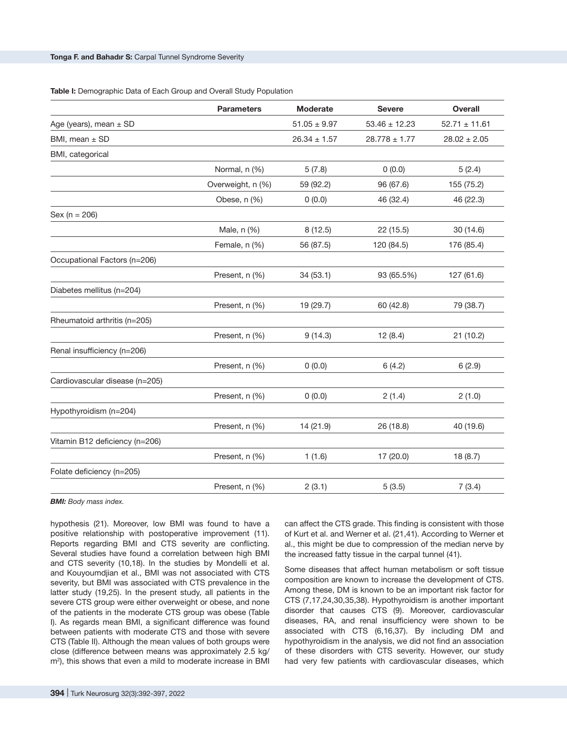#### **Table I:** Demographic Data of Each Group and Overall Study Population

|                                | <b>Parameters</b> | <b>Moderate</b>  | <b>Severe</b>     | <b>Overall</b>    |
|--------------------------------|-------------------|------------------|-------------------|-------------------|
| Age (years), mean $\pm$ SD     |                   | $51.05 \pm 9.97$ | $53.46 \pm 12.23$ | $52.71 \pm 11.61$ |
| BMI, mean $\pm$ SD             |                   | $26.34 \pm 1.57$ | $28.778 \pm 1.77$ | $28.02 \pm 2.05$  |
| BMI, categorical               |                   |                  |                   |                   |
|                                | Normal, n (%)     | 5(7.8)           | 0(0.0)            | 5(2.4)            |
|                                | Overweight, n (%) | 59 (92.2)        | 96 (67.6)         | 155 (75.2)        |
|                                | Obese, n (%)      | 0(0.0)           | 46 (32.4)         | 46 (22.3)         |
| $Sex (n = 206)$                |                   |                  |                   |                   |
|                                | Male, n (%)       | 8(12.5)          | 22 (15.5)         | 30 (14.6)         |
|                                | Female, n (%)     | 56 (87.5)        | 120 (84.5)        | 176 (85.4)        |
| Occupational Factors (n=206)   |                   |                  |                   |                   |
|                                | Present, n (%)    | 34(53.1)         | 93 (65.5%)        | 127 (61.6)        |
| Diabetes mellitus (n=204)      |                   |                  |                   |                   |
|                                | Present, n (%)    | 19 (29.7)        | 60 (42.8)         | 79 (38.7)         |
| Rheumatoid arthritis (n=205)   |                   |                  |                   |                   |
|                                | Present, n (%)    | 9(14.3)          | 12(8.4)           | 21 (10.2)         |
| Renal insufficiency (n=206)    |                   |                  |                   |                   |
|                                | Present, n (%)    | 0(0.0)           | 6(4.2)            | 6(2.9)            |
| Cardiovascular disease (n=205) |                   |                  |                   |                   |
|                                | Present, n (%)    | 0(0.0)           | 2(1.4)            | 2(1.0)            |
| Hypothyroidism (n=204)         |                   |                  |                   |                   |
|                                | Present, n (%)    | 14 (21.9)        | 26 (18.8)         | 40 (19.6)         |
| Vitamin B12 deficiency (n=206) |                   |                  |                   |                   |
|                                | Present, n (%)    | 1(1.6)           | 17 (20.0)         | 18(8.7)           |
| Folate deficiency (n=205)      |                   |                  |                   |                   |
|                                | Present, n (%)    | 2(3.1)           | 5(3.5)            | 7(3.4)            |

*BMI: Body mass index.*

hypothesis (21). Moreover, low BMI was found to have a positive relationship with postoperative improvement (11). Reports regarding BMI and CTS severity are conflicting. Several studies have found a correlation between high BMI and CTS severity (10,18). In the studies by Mondelli et al. and Kouyoumdjian et al., BMI was not associated with CTS severity, but BMI was associated with CTS prevalence in the latter study (19,25). In the present study, all patients in the severe CTS group were either overweight or obese, and none of the patients in the moderate CTS group was obese (Table I). As regards mean BMI, a significant difference was found between patients with moderate CTS and those with severe CTS (Table II). Although the mean values of both groups were close (difference between means was approximately 2.5 kg/ m<sup>2</sup> ), this shows that even a mild to moderate increase in BMI can affect the CTS grade. This finding is consistent with those of Kurt et al. and Werner et al. (21,41). According to Werner et al., this might be due to compression of the median nerve by the increased fatty tissue in the carpal tunnel (41).

Some diseases that affect human metabolism or soft tissue composition are known to increase the development of CTS. Among these, DM is known to be an important risk factor for CTS (7,17,24,30,35,38). Hypothyroidism is another important disorder that causes CTS (9). Moreover, cardiovascular diseases, RA, and renal insufficiency were shown to be associated with CTS (6,16,37). By including DM and hypothyroidism in the analysis, we did not find an association of these disorders with CTS severity. However, our study had very few patients with cardiovascular diseases, which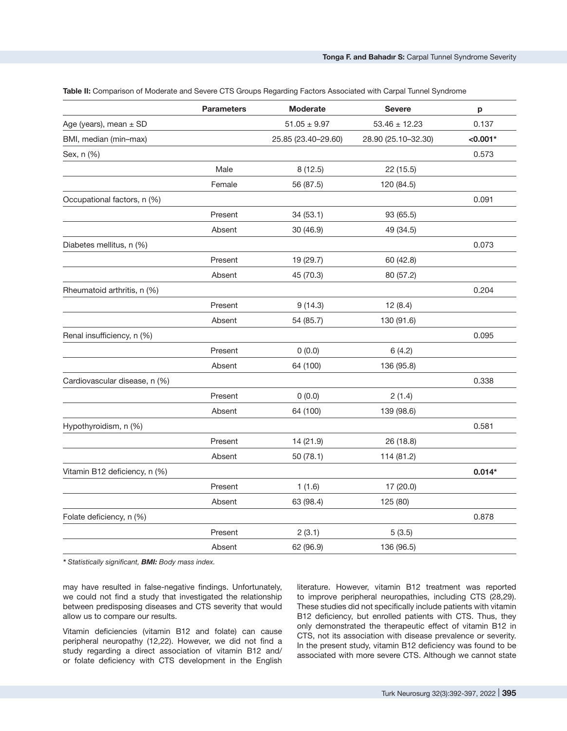|                               | <b>Parameters</b> | <b>Moderate</b>     | <b>Severe</b>       | p          |
|-------------------------------|-------------------|---------------------|---------------------|------------|
| Age (years), mean $\pm$ SD    |                   | $51.05 \pm 9.97$    | $53.46 \pm 12.23$   | 0.137      |
| BMI, median (min-max)         |                   | 25.85 (23.40-29.60) | 28.90 (25.10-32.30) | $< 0.001*$ |
| Sex, n (%)                    |                   |                     |                     | 0.573      |
|                               | Male              | 8(12.5)             | 22 (15.5)           |            |
|                               | Female            | 56 (87.5)           | 120 (84.5)          |            |
| Occupational factors, n (%)   |                   |                     |                     | 0.091      |
|                               | Present           | 34(53.1)            | 93 (65.5)           |            |
|                               | Absent            | 30 (46.9)           | 49 (34.5)           |            |
| Diabetes mellitus, n (%)      |                   |                     |                     | 0.073      |
|                               | Present           | 19 (29.7)           | 60 (42.8)           |            |
|                               | Absent            | 45 (70.3)           | 80 (57.2)           |            |
| Rheumatoid arthritis, n (%)   |                   |                     |                     | 0.204      |
|                               | Present           | 9(14.3)             | 12(8.4)             |            |
|                               | Absent            | 54 (85.7)           | 130 (91.6)          |            |
| Renal insufficiency, n (%)    |                   |                     |                     | 0.095      |
|                               | Present           | 0(0.0)              | 6(4.2)              |            |
|                               | Absent            | 64 (100)            | 136 (95.8)          |            |
| Cardiovascular disease, n (%) |                   |                     |                     | 0.338      |
|                               | Present           | 0(0.0)              | 2(1.4)              |            |
|                               | Absent            | 64 (100)            | 139 (98.6)          |            |
| Hypothyroidism, n (%)         |                   |                     |                     | 0.581      |
|                               | Present           | 14 (21.9)           | 26 (18.8)           |            |
|                               | Absent            | 50 (78.1)           | 114 (81.2)          |            |
| Vitamin B12 deficiency, n (%) |                   |                     |                     | $0.014*$   |
|                               | Present           | 1(1.6)              | 17 (20.0)           |            |
|                               | Absent            | 63 (98.4)           | 125 (80)            |            |
| Folate deficiency, n (%)      |                   |                     |                     | 0.878      |
|                               | Present           | 2(3.1)              | 5(3.5)              |            |
|                               | Absent            | 62 (96.9)           | 136 (96.5)          |            |
|                               |                   |                     |                     |            |

**Table II:** Comparison of Moderate and Severe CTS Groups Regarding Factors Associated with Carpal Tunnel Syndrome

*\* Statistically significant, BMI: Body mass index.*

may have resulted in false-negative findings. Unfortunately, we could not find a study that investigated the relationship between predisposing diseases and CTS severity that would allow us to compare our results.

Vitamin deficiencies (vitamin B12 and folate) can cause peripheral neuropathy (12,22). However, we did not find a study regarding a direct association of vitamin B12 and/ or folate deficiency with CTS development in the English literature. However, vitamin B12 treatment was reported to improve peripheral neuropathies, including CTS (28,29). These studies did not specifically include patients with vitamin B12 deficiency, but enrolled patients with CTS. Thus, they only demonstrated the therapeutic effect of vitamin B12 in CTS, not its association with disease prevalence or severity. In the present study, vitamin B12 deficiency was found to be associated with more severe CTS. Although we cannot state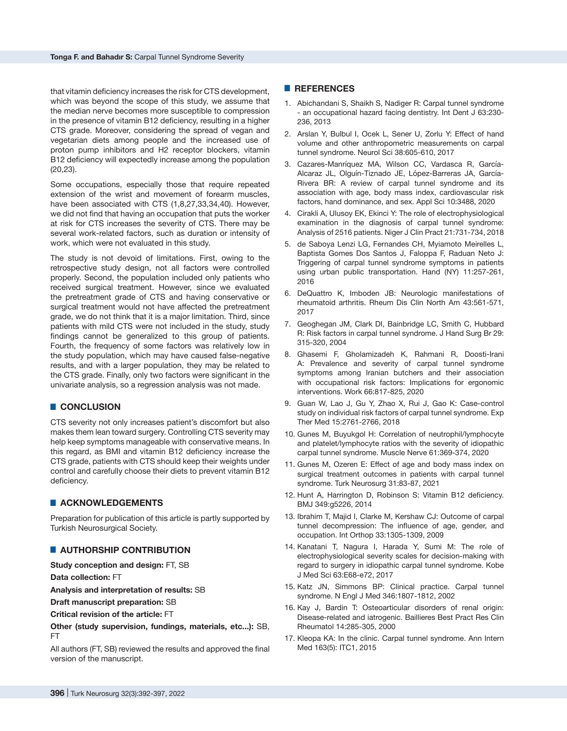that vitamin deficiency increases the risk for CTS development, which was beyond the scope of this study, we assume that the median nerve becomes more susceptible to compression in the presence of vitamin B12 deficiency, resulting in a higher CTS grade. Moreover, considering the spread of vegan and vegetarian diets among people and the increased use of proton pump inhibitors and H2 receptor blockers, vitamin B12 deficiency will expectedly increase among the population (20,23).

Some occupations, especially those that require repeated extension of the wrist and movement of forearm muscles, have been associated with CTS (1,8,27,33,34,40). However, we did not find that having an occupation that puts the worker at risk for CTS increases the severity of CTS. There may be several work-related factors, such as duration or intensity of work, which were not evaluated in this study.

The study is not devoid of limitations. First, owing to the retrospective study design, not all factors were controlled properly. Second, the population included only patients who received surgical treatment. However, since we evaluated the pretreatment grade of CTS and having conservative or surgical treatment would not have affected the pretreatment grade, we do not think that it is a major limitation. Third, since patients with mild CTS were not included in the study, study findings cannot be generalized to this group of patients. Fourth, the frequency of some factors was relatively low in the study population, which may have caused false-negative results, and with a larger population, they may be related to the CTS grade. Finally, only two factors were significant in the univariate analysis, so a regression analysis was not made.

## █ **CONCLUSION**

CTS severity not only increases patient's discomfort but also makes them lean toward surgery. Controlling CTS severity may help keep symptoms manageable with conservative means. In this regard, as BMI and vitamin B12 deficiency increase the CTS grade, patients with CTS should keep their weights under control and carefully choose their diets to prevent vitamin B12 deficiency.

## █ **ACKNOWLEDGEMENTS**

Preparation for publication of this article is partly supported by Turkish Neurosurgical Society.

## █ **AUTHORSHIP CONTRIBUTION**

**Study conception and design:** FT, SB

**Data collection:** FT

**Analysis and interpretation of results:** SB

**Draft manuscript preparation:** SB

**Critical revision of the article:** FT

**Other (study supervision, fundings, materials, etc...):** SB, FT

All authors (FT, SB) reviewed the results and approved the final version of the manuscript.

#### █ **REFERENCES**

- 1. Abichandani S, Shaikh S, Nadiger R: Carpal tunnel syndrome - an occupational hazard facing dentistry. Int Dent J 63:230- 236, 2013
- 2. Arslan Y, Bulbul I, Ocek L, Sener U, Zorlu Y: Effect of hand volume and other anthropometric measurements on carpal tunnel syndrome. Neurol Sci 38:605-610, 2017
- 3. Cazares-Manríquez MA, Wilson CC, Vardasca R, García-Alcaraz JL, Olguín-Tiznado JE, López-Barreras JA, García-Rivera BR: A review of carpal tunnel syndrome and its association with age, body mass index, cardiovascular risk factors, hand dominance, and sex. Appl Sci 10:3488, 2020
- 4. Cirakli A, Ulusoy EK, Ekinci Y: The role of electrophysiological examination in the diagnosis of carpal tunnel syndrome: Analysis of 2516 patients. Niger J Clin Pract 21:731-734, 2018
- 5. de Saboya Lenzi LG, Fernandes CH, Myiamoto Meirelles L, Baptista Gomes Dos Santos J, Faloppa F, Raduan Neto J: Triggering of carpal tunnel syndrome symptoms in patients using urban public transportation. Hand (NY) 11:257-261, 2016
- 6. DeQuattro K, Imboden JB: Neurologic manifestations of rheumatoid arthritis. Rheum Dis Clin North Am 43:561-571, 2017
- 7. Geoghegan JM, Clark DI, Bainbridge LC, Smith C, Hubbard R: Risk factors in carpal tunnel syndrome. J Hand Surg Br 29: 315-320, 2004
- 8. Ghasemi F, Gholamizadeh K, Rahmani R, Doosti-Irani A: Prevalence and severity of carpal tunnel syndrome symptoms among Iranian butchers and their association with occupational risk factors: Implications for ergonomic interventions. Work 66:817-825, 2020
- 9. Guan W, Lao J, Gu Y, Zhao X, Rui J, Gao K: Case-control study on individual risk factors of carpal tunnel syndrome. Exp Ther Med 15:2761-2766, 2018
- 10. Gunes M, Buyukgol H: Correlation of neutrophil/lymphocyte and platelet/lymphocyte ratios with the severity of idiopathic carpal tunnel syndrome. Muscle Nerve 61:369-374, 2020
- 11. Gunes M, Ozeren E: Effect of age and body mass index on surgical treatment outcomes in patients with carpal tunnel syndrome. Turk Neurosurg 31:83-87, 2021
- 12. Hunt A, Harrington D, Robinson S: Vitamin B12 deficiency. BMJ 349:g5226, 2014
- 13. Ibrahim T, Majid I, Clarke M, Kershaw CJ: Outcome of carpal tunnel decompression: The influence of age, gender, and occupation. Int Orthop 33:1305-1309, 2009
- 14. Kanatani T, Nagura I, Harada Y, Sumi M: The role of electrophysiological severity scales for decision-making with regard to surgery in idiopathic carpal tunnel syndrome. Kobe J Med Sci 63:E68-e72, 2017
- 15. Katz JN, Simmons BP: Clinical practice. Carpal tunnel syndrome. N Engl J Med 346:1807-1812, 2002
- 16. Kay J, Bardin T: Osteoarticular disorders of renal origin: Disease-related and iatrogenic. Baillieres Best Pract Res Clin Rheumatol 14:285-305, 2000
- 17. Kleopa KA: In the clinic. Carpal tunnel syndrome. Ann Intern Med 163(5): ITC1, 2015